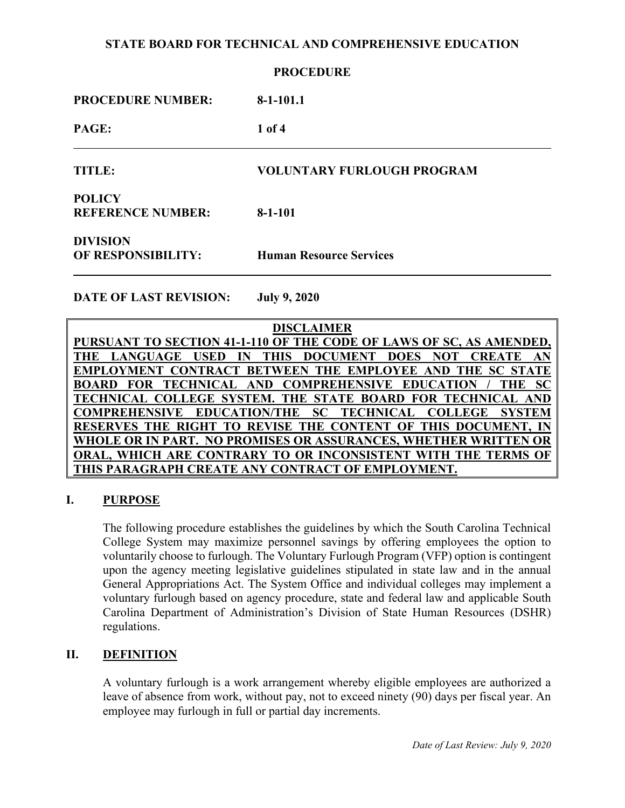| <b>PROCEDURE</b>                          |                                   |
|-------------------------------------------|-----------------------------------|
| <b>PROCEDURE NUMBER:</b>                  | $8-1-101.1$                       |
| PAGE:                                     | $1$ of $4$                        |
| <b>TITLE:</b>                             | <b>VOLUNTARY FURLOUGH PROGRAM</b> |
| <b>POLICY</b><br><b>REFERENCE NUMBER:</b> | $8-1-101$                         |
| <b>DIVISION</b><br>OF RESPONSIBILITY:     | <b>Human Resource Services</b>    |
| <b>DATE OF LAST REVISION:</b>             | <b>July 9, 2020</b>               |
|                                           |                                   |

**DISCLAIMER PURSUANT TO SECTION 41-1-110 OF THE CODE OF LAWS OF SC, AS AMENDED, THE LANGUAGE USED IN THIS DOCUMENT DOES NOT CREATE AN EMPLOYMENT CONTRACT BETWEEN THE EMPLOYEE AND THE SC STATE BOARD FOR TECHNICAL AND COMPREHENSIVE EDUCATION / THE SC TECHNICAL COLLEGE SYSTEM. THE STATE BOARD FOR TECHNICAL AND COMPREHENSIVE EDUCATION/THE SC TECHNICAL COLLEGE SYSTEM RESERVES THE RIGHT TO REVISE THE CONTENT OF THIS DOCUMENT, IN WHOLE OR IN PART. NO PROMISES OR ASSURANCES, WHETHER WRITTEN OR ORAL, WHICH ARE CONTRARY TO OR INCONSISTENT WITH THE TERMS THIS PARAGRAPH CREATE ANY CONTRACT OF EMPLOYMENT.**

## **I. PURPOSE**

The following procedure establishes the guidelines by which the South Carolina Technical College System may maximize personnel savings by offering employees the option to voluntarily choose to furlough. The Voluntary Furlough Program (VFP) option is contingent upon the agency meeting legislative guidelines stipulated in state law and in the annual General Appropriations Act. The System Office and individual colleges may implement a voluntary furlough based on agency procedure, state and federal law and applicable South Carolina Department of Administration's Division of State Human Resources (DSHR) regulations.

## **II. DEFINITION**

A voluntary furlough is a work arrangement whereby eligible employees are authorized a leave of absence from work, without pay, not to exceed ninety (90) days per fiscal year. An employee may furlough in full or partial day increments.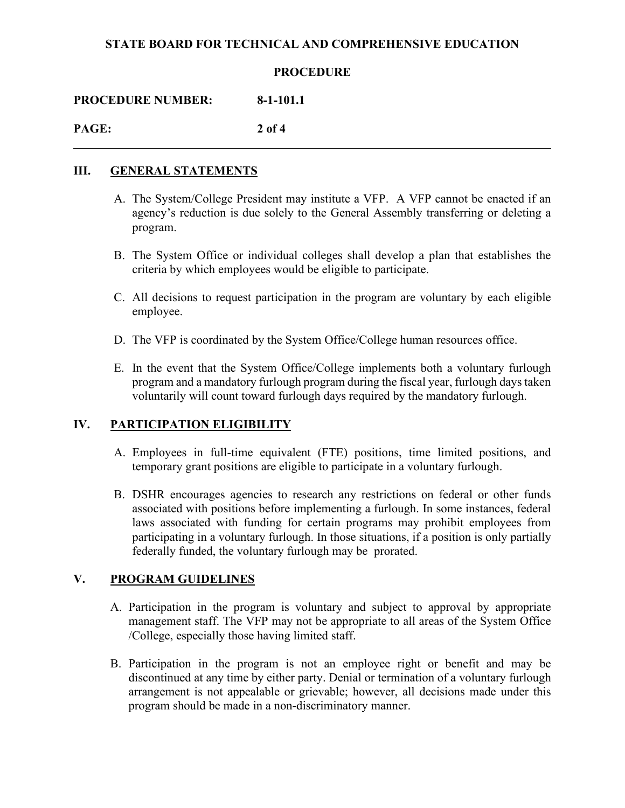#### **PROCEDURE**

**PROCEDURE NUMBER: 8-1-101.1**

**PAGE: 2 of 4**

#### **III. GENERAL STATEMENTS**

- A. The System/College President may institute a VFP. A VFP cannot be enacted if an agency's reduction is due solely to the General Assembly transferring or deleting a program.
- B. The System Office or individual colleges shall develop a plan that establishes the criteria by which employees would be eligible to participate.
- C. All decisions to request participation in the program are voluntary by each eligible employee.
- D. The VFP is coordinated by the System Office/College human resources office.
- E. In the event that the System Office/College implements both a voluntary furlough program and a mandatory furlough program during the fiscal year, furlough days taken voluntarily will count toward furlough days required by the mandatory furlough.

## **IV. PARTICIPATION ELIGIBILITY**

- A. Employees in full-time equivalent (FTE) positions, time limited positions, and temporary grant positions are eligible to participate in a voluntary furlough.
- B. DSHR encourages agencies to research any restrictions on federal or other funds associated with positions before implementing a furlough. In some instances, federal laws associated with funding for certain programs may prohibit employees from participating in a voluntary furlough. In those situations, if a position is only partially federally funded, the voluntary furlough may be prorated.

### **V. PROGRAM GUIDELINES**

- A. Participation in the program is voluntary and subject to approval by appropriate management staff. The VFP may not be appropriate to all areas of the System Office /College, especially those having limited staff.
- B. Participation in the program is not an employee right or benefit and may be discontinued at any time by either party. Denial or termination of a voluntary furlough arrangement is not appealable or grievable; however, all decisions made under this program should be made in a non-discriminatory manner.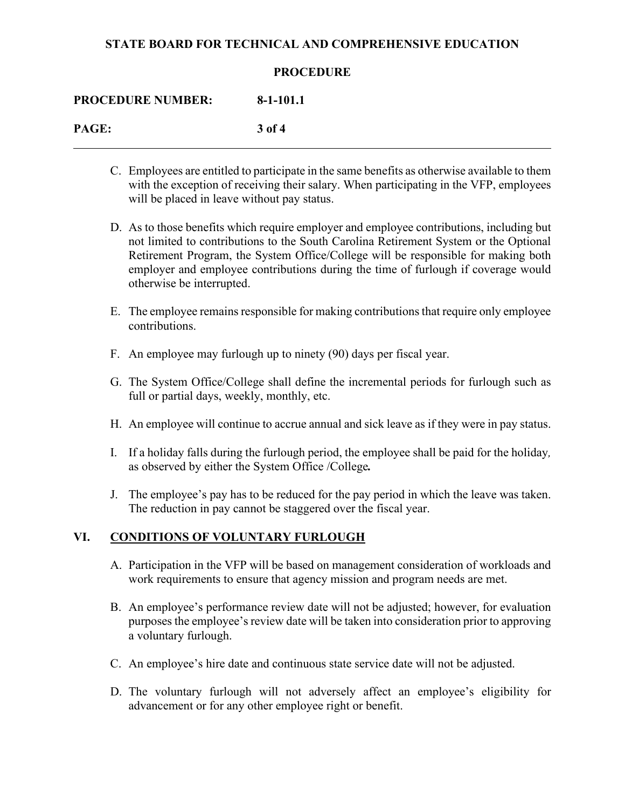#### **PROCEDURE**

**PROCEDURE NUMBER: 8-1-101.1**

**PAGE: 3 of 4**

- C. Employees are entitled to participate in the same benefits as otherwise available to them with the exception of receiving their salary. When participating in the VFP, employees will be placed in leave without pay status.
- D. As to those benefits which require employer and employee contributions, including but not limited to contributions to the South Carolina Retirement System or the Optional Retirement Program, the System Office/College will be responsible for making both employer and employee contributions during the time of furlough if coverage would otherwise be interrupted.
- E. The employee remains responsible for making contributions that require only employee contributions.
- F. An employee may furlough up to ninety (90) days per fiscal year.
- G. The System Office/College shall define the incremental periods for furlough such as full or partial days, weekly, monthly, etc.
- H. An employee will continue to accrue annual and sick leave as if they were in pay status.
- I. If a holiday falls during the furlough period, the employee shall be paid for the holiday*,*  as observed by either the System Office /College*.*
- J. The employee's pay has to be reduced for the pay period in which the leave was taken. The reduction in pay cannot be staggered over the fiscal year.

### **VI. CONDITIONS OF VOLUNTARY FURLOUGH**

- A. Participation in the VFP will be based on management consideration of workloads and work requirements to ensure that agency mission and program needs are met.
- B. An employee's performance review date will not be adjusted; however, for evaluation purposes the employee's review date will be taken into consideration prior to approving a voluntary furlough.
- C. An employee's hire date and continuous state service date will not be adjusted.
- D. The voluntary furlough will not adversely affect an employee's eligibility for advancement or for any other employee right or benefit.